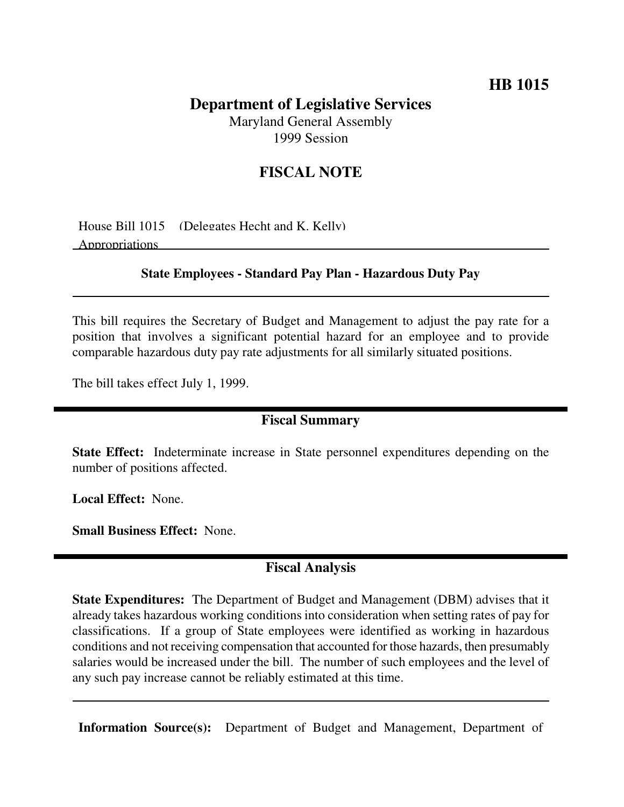## **HB 1015**

## **Department of Legislative Services** Maryland General Assembly

1999 Session

## **FISCAL NOTE**

House Bill 1015 (Delegates Hecht and K. Kelly) Appropriations

### **State Employees - Standard Pay Plan - Hazardous Duty Pay**

This bill requires the Secretary of Budget and Management to adjust the pay rate for a position that involves a significant potential hazard for an employee and to provide comparable hazardous duty pay rate adjustments for all similarly situated positions.

The bill takes effect July 1, 1999.

#### **Fiscal Summary**

**State Effect:** Indeterminate increase in State personnel expenditures depending on the number of positions affected.

**Local Effect:** None.

**Small Business Effect:** None.

## **Fiscal Analysis**

**State Expenditures:** The Department of Budget and Management (DBM) advises that it already takes hazardous working conditions into consideration when setting rates of pay for classifications. If a group of State employees were identified as working in hazardous conditions and not receiving compensation that accounted for those hazards, then presumably salaries would be increased under the bill. The number of such employees and the level of any such pay increase cannot be reliably estimated at this time.

**Information Source(s):** Department of Budget and Management, Department of